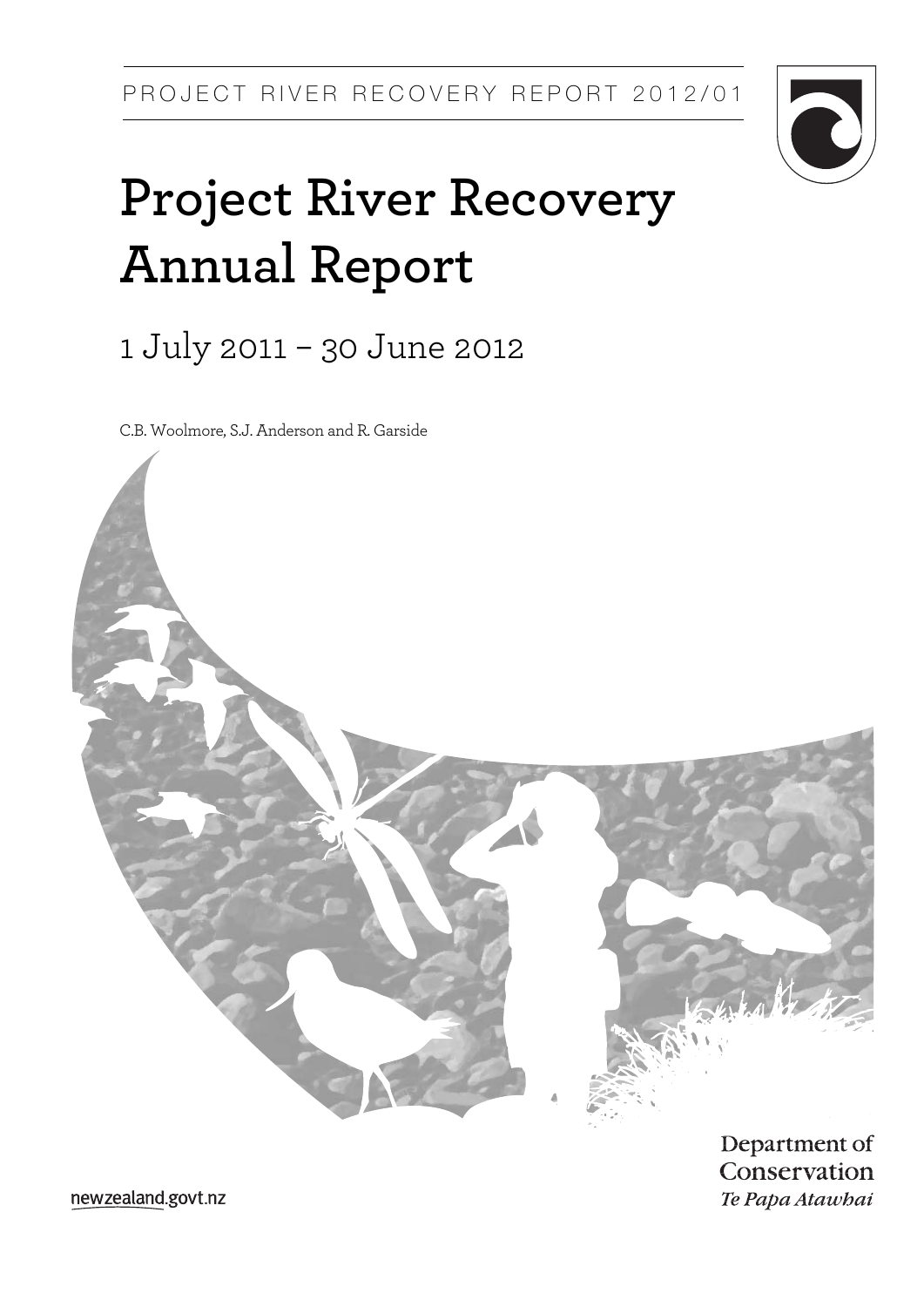

# **Project River Recovery Annual Report**

1 July 2011 – 30 June 2012

C.B. Woolmore, S.J. Anderson and R. Garside



Department of Conservation Te Papa Atawbai

newzealand.govt.nz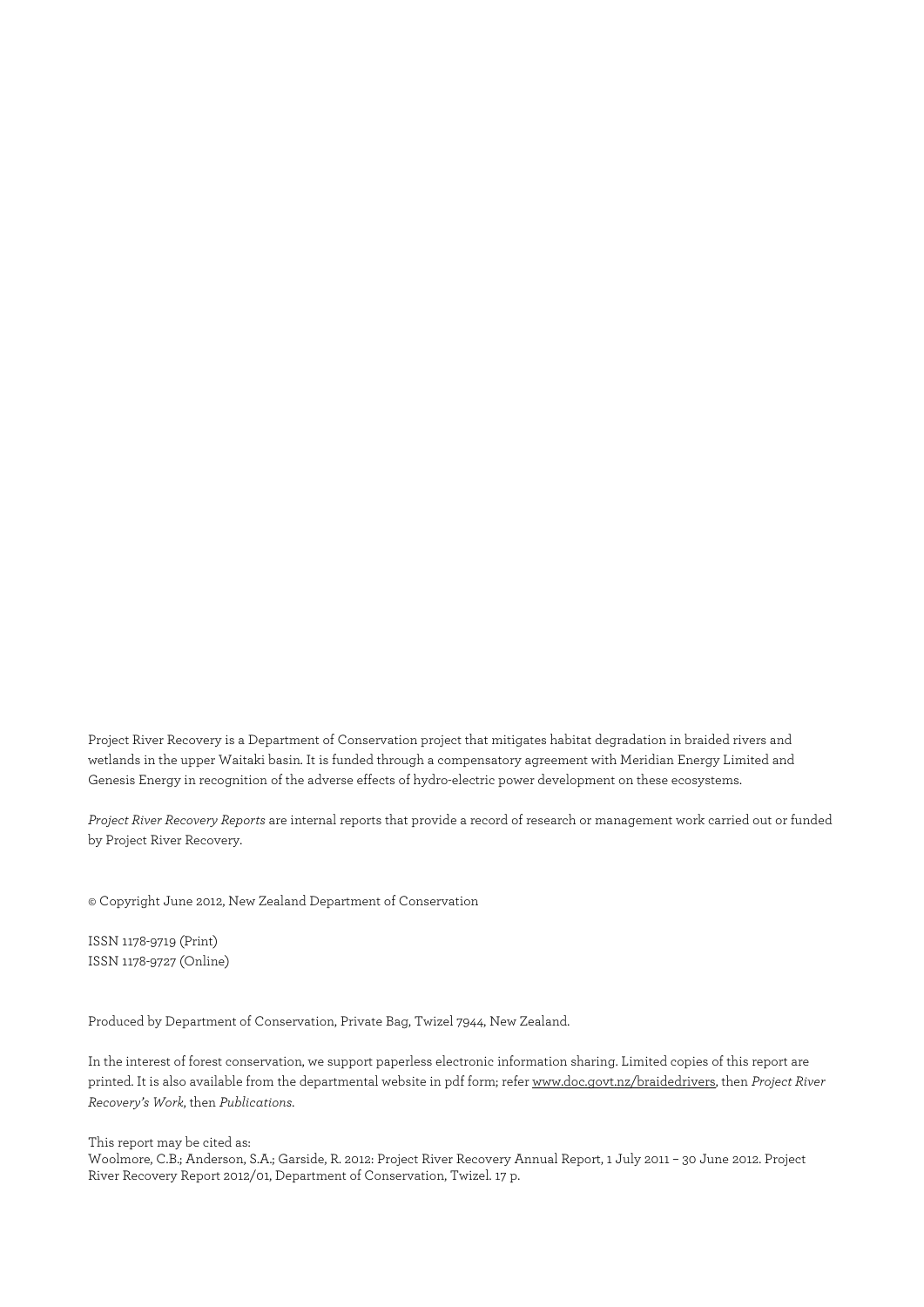Project River Recovery is a Department of Conservation project that mitigates habitat degradation in braided rivers and wetlands in the upper Waitaki basin. It is funded through a compensatory agreement with Meridian Energy Limited and Genesis Energy in recognition of the adverse effects of hydro-electric power development on these ecosystems.

*Project River Recovery Reports* are internal reports that provide a record of research or management work carried out or funded by Project River Recovery.

© Copyright June 2012, New Zealand Department of Conservation

ISSN 1178-9719 (Print) ISSN 1178-9727 (Online)

Produced by Department of Conservation, Private Bag, Twizel 7944, New Zealand.

In the interest of forest conservation, we support paperless electronic information sharing. Limited copies of this report are printed. It is also available from the departmental website in pdf form; refer www.doc.govt.nz/braidedrivers, then *Project River Recovery's Work*, then *Publications*.

This report may be cited as:

Woolmore, C.B.; Anderson, S.A.; Garside, R. 2012: Project River Recovery Annual Report, 1 July 2011 – 30 June 2012. Project River Recovery Report 2012/01, Department of Conservation, Twizel. 17 p.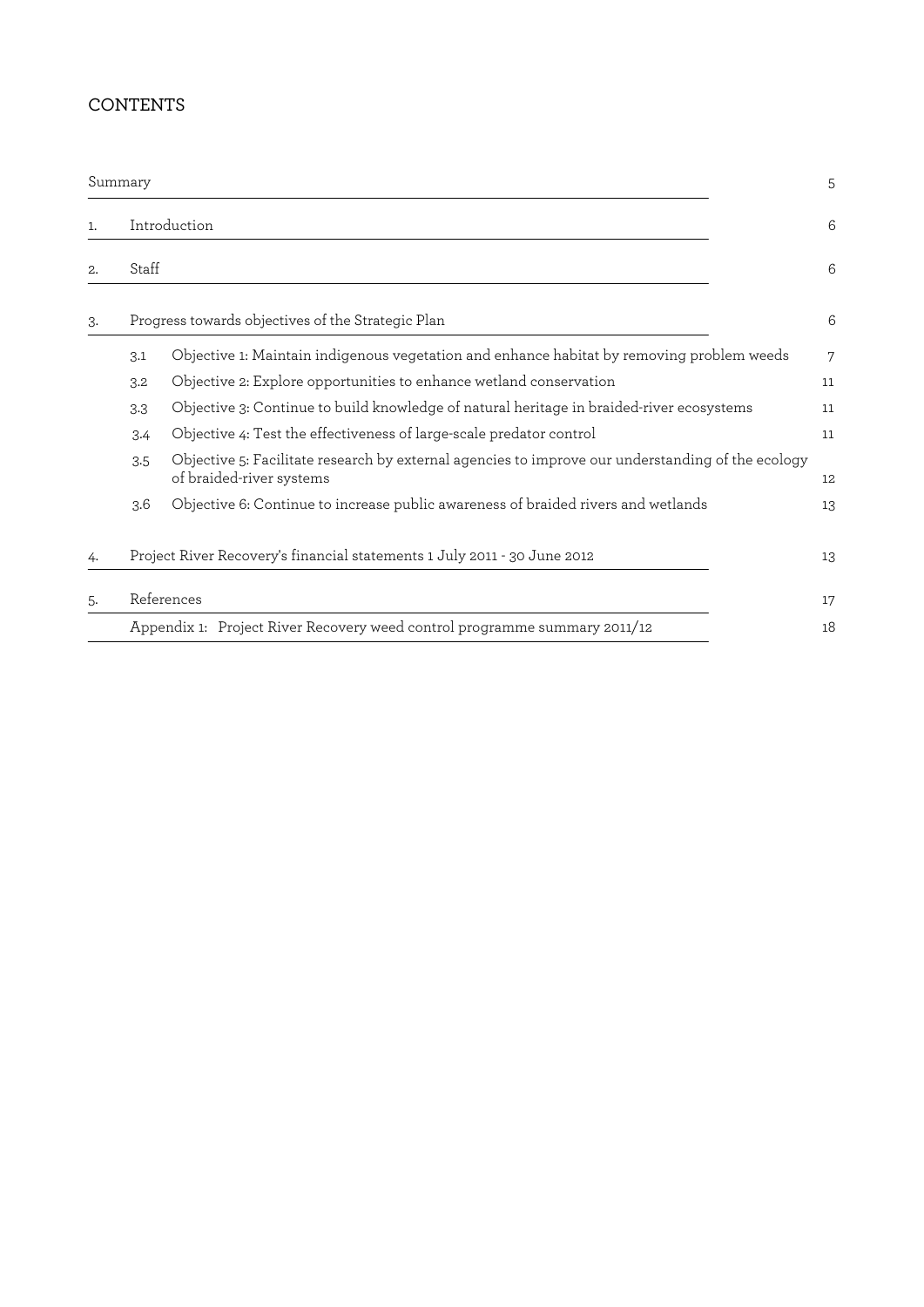### CONTENTS

|                | Summary |                                                                                                                               | 5  |
|----------------|---------|-------------------------------------------------------------------------------------------------------------------------------|----|
| $\mathbf{1}$ . |         | Introduction                                                                                                                  | 6  |
| 2.             | Staff   |                                                                                                                               | 6  |
| 3.             |         | Progress towards objectives of the Strategic Plan                                                                             | 6  |
|                | 3.1     | Objective 1: Maintain indigenous vegetation and enhance habitat by removing problem weeds                                     | 7  |
|                | 3.2     | Objective 2: Explore opportunities to enhance wetland conservation                                                            | 11 |
|                | 3.3     | Objective 3: Continue to build knowledge of natural heritage in braided-river ecosystems                                      | 11 |
|                | 3.4     | Objective 4: Test the effectiveness of large-scale predator control                                                           | 11 |
|                | 3.5     | Objective 5: Facilitate research by external agencies to improve our understanding of the ecology<br>of braided-river systems | 12 |
|                | 3.6     | Objective 6: Continue to increase public awareness of braided rivers and wetlands                                             | 13 |
| 4.             |         | Project River Recovery's financial statements 1 July 2011 - 30 June 2012                                                      | 13 |
| 5.             |         | References                                                                                                                    | 17 |
|                |         | Appendix 1: Project River Recovery weed control programme summary 2011/12                                                     | 18 |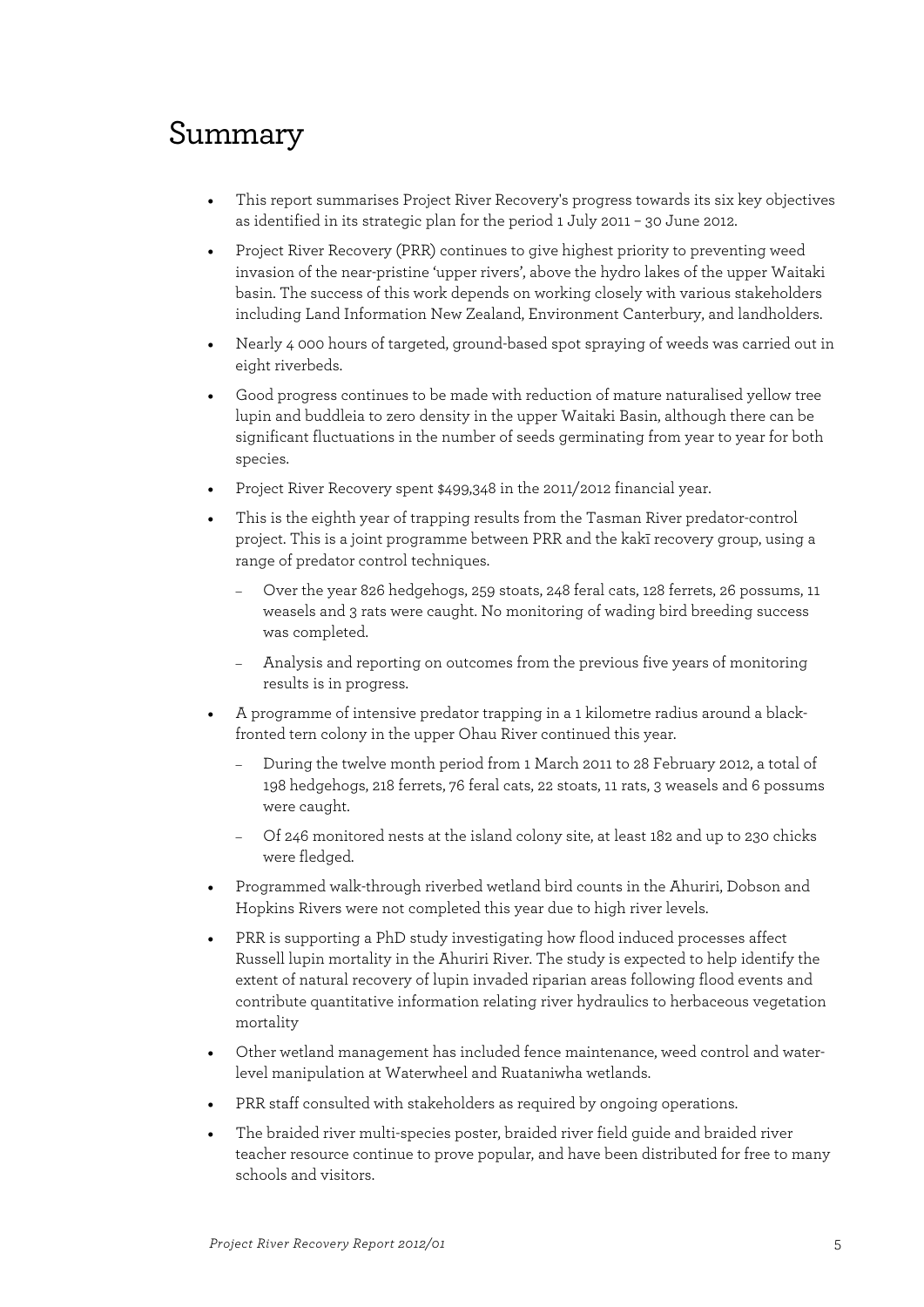# Summary

- This report summarises Project River Recovery's progress towards its six key objectives as identified in its strategic plan for the period 1 July 2011 – 30 June 2012.
- Project River Recovery (PRR) continues to give highest priority to preventing weed invasion of the near-pristine 'upper rivers', above the hydro lakes of the upper Waitaki basin. The success of this work depends on working closely with various stakeholders including Land Information New Zealand, Environment Canterbury, and landholders.
- Nearly 4 000 hours of targeted, ground-based spot spraying of weeds was carried out in eight riverbeds.
- Good progress continues to be made with reduction of mature naturalised yellow tree lupin and buddleia to zero density in the upper Waitaki Basin, although there can be significant fluctuations in the number of seeds germinating from year to year for both species.
- Project River Recovery spent \$499,348 in the 2011/2012 financial year.
- This is the eighth year of trapping results from the Tasman River predator-control project. This is a joint programme between PRR and the kakī recovery group, using a range of predator control techniques.
	- Over the year 826 hedgehogs, 259 stoats, 248 feral cats, 128 ferrets, 26 possums, 11 weasels and 3 rats were caught. No monitoring of wading bird breeding success was completed.
	- Analysis and reporting on outcomes from the previous five years of monitoring results is in progress.
- A programme of intensive predator trapping in a 1 kilometre radius around a blackfronted tern colony in the upper Ohau River continued this year.
	- During the twelve month period from 1 March 2011 to 28 February 2012, a total of 198 hedgehogs, 218 ferrets, 76 feral cats, 22 stoats, 11 rats, 3 weasels and 6 possums were caught.
	- Of 246 monitored nests at the island colony site, at least 182 and up to 230 chicks were fledged.
- Programmed walk-through riverbed wetland bird counts in the Ahuriri, Dobson and Hopkins Rivers were not completed this year due to high river levels.
- PRR is supporting a PhD study investigating how flood induced processes affect Russell lupin mortality in the Ahuriri River. The study is expected to help identify the extent of natural recovery of lupin invaded riparian areas following flood events and contribute quantitative information relating river hydraulics to herbaceous vegetation mortality
- Other wetland management has included fence maintenance, weed control and waterlevel manipulation at Waterwheel and Ruataniwha wetlands.
- PRR staff consulted with stakeholders as required by ongoing operations.
- The braided river multi-species poster, braided river field guide and braided river teacher resource continue to prove popular, and have been distributed for free to many schools and visitors.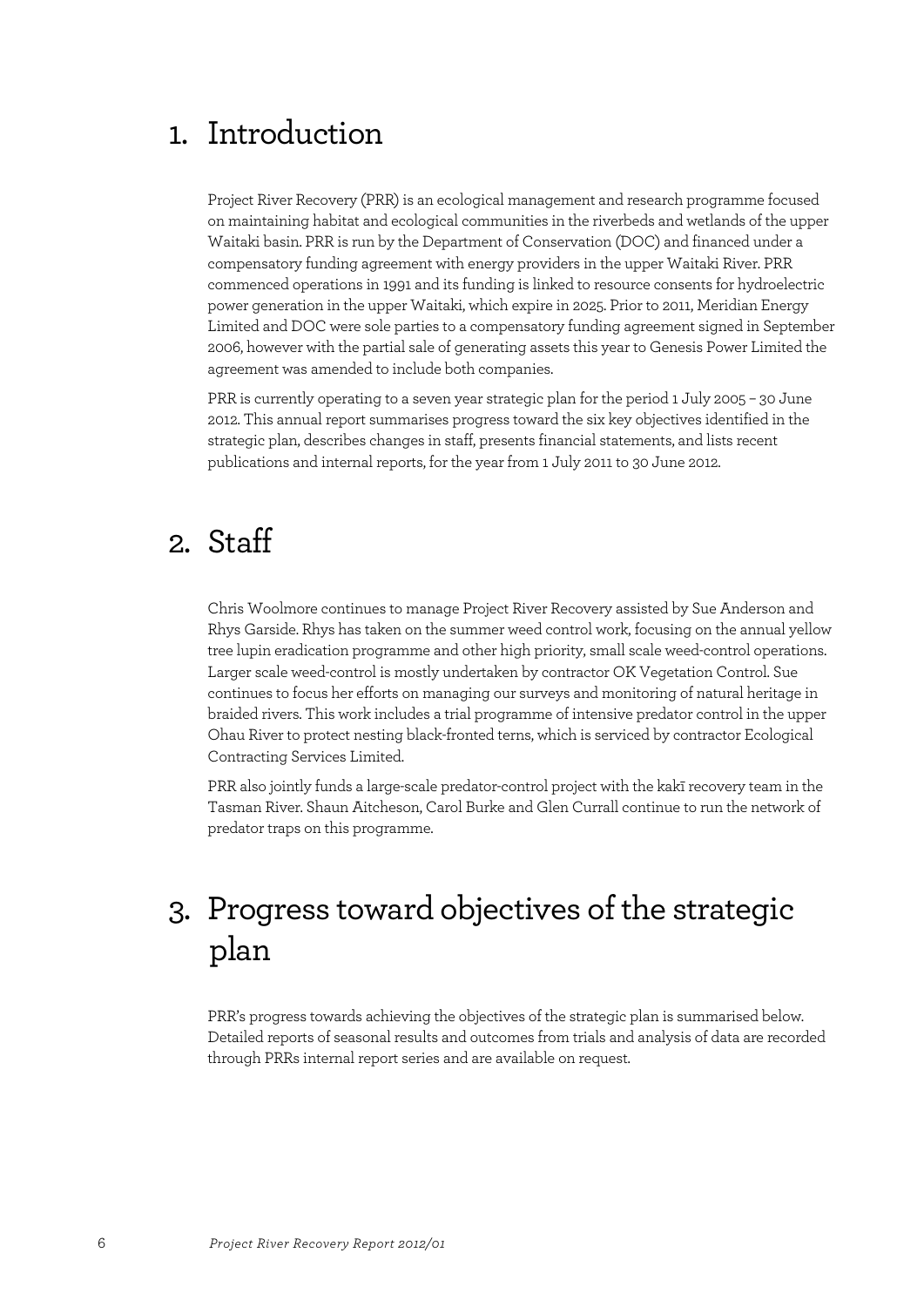# 1. Introduction

Project River Recovery (PRR) is an ecological management and research programme focused on maintaining habitat and ecological communities in the riverbeds and wetlands of the upper Waitaki basin. PRR is run by the Department of Conservation (DOC) and financed under a compensatory funding agreement with energy providers in the upper Waitaki River. PRR commenced operations in 1991 and its funding is linked to resource consents for hydroelectric power generation in the upper Waitaki, which expire in 2025. Prior to 2011, Meridian Energy Limited and DOC were sole parties to a compensatory funding agreement signed in September 2006, however with the partial sale of generating assets this year to Genesis Power Limited the agreement was amended to include both companies.

PRR is currently operating to a seven year strategic plan for the period 1 July 2005 – 30 June 2012. This annual report summarises progress toward the six key objectives identified in the strategic plan, describes changes in staff, presents financial statements, and lists recent publications and internal reports, for the year from 1 July 2011 to 30 June 2012.

# 2. Staff

Chris Woolmore continues to manage Project River Recovery assisted by Sue Anderson and Rhys Garside. Rhys has taken on the summer weed control work, focusing on the annual yellow tree lupin eradication programme and other high priority, small scale weed-control operations. Larger scale weed-control is mostly undertaken by contractor OK Vegetation Control. Sue continues to focus her efforts on managing our surveys and monitoring of natural heritage in braided rivers. This work includes a trial programme of intensive predator control in the upper Ohau River to protect nesting black-fronted terns, which is serviced by contractor Ecological Contracting Services Limited.

PRR also jointly funds a large-scale predator-control project with the kakī recovery team in the Tasman River. Shaun Aitcheson, Carol Burke and Glen Currall continue to run the network of predator traps on this programme.

# 3. Progress toward objectives of the strategic plan

PRR's progress towards achieving the objectives of the strategic plan is summarised below. Detailed reports of seasonal results and outcomes from trials and analysis of data are recorded through PRRs internal report series and are available on request.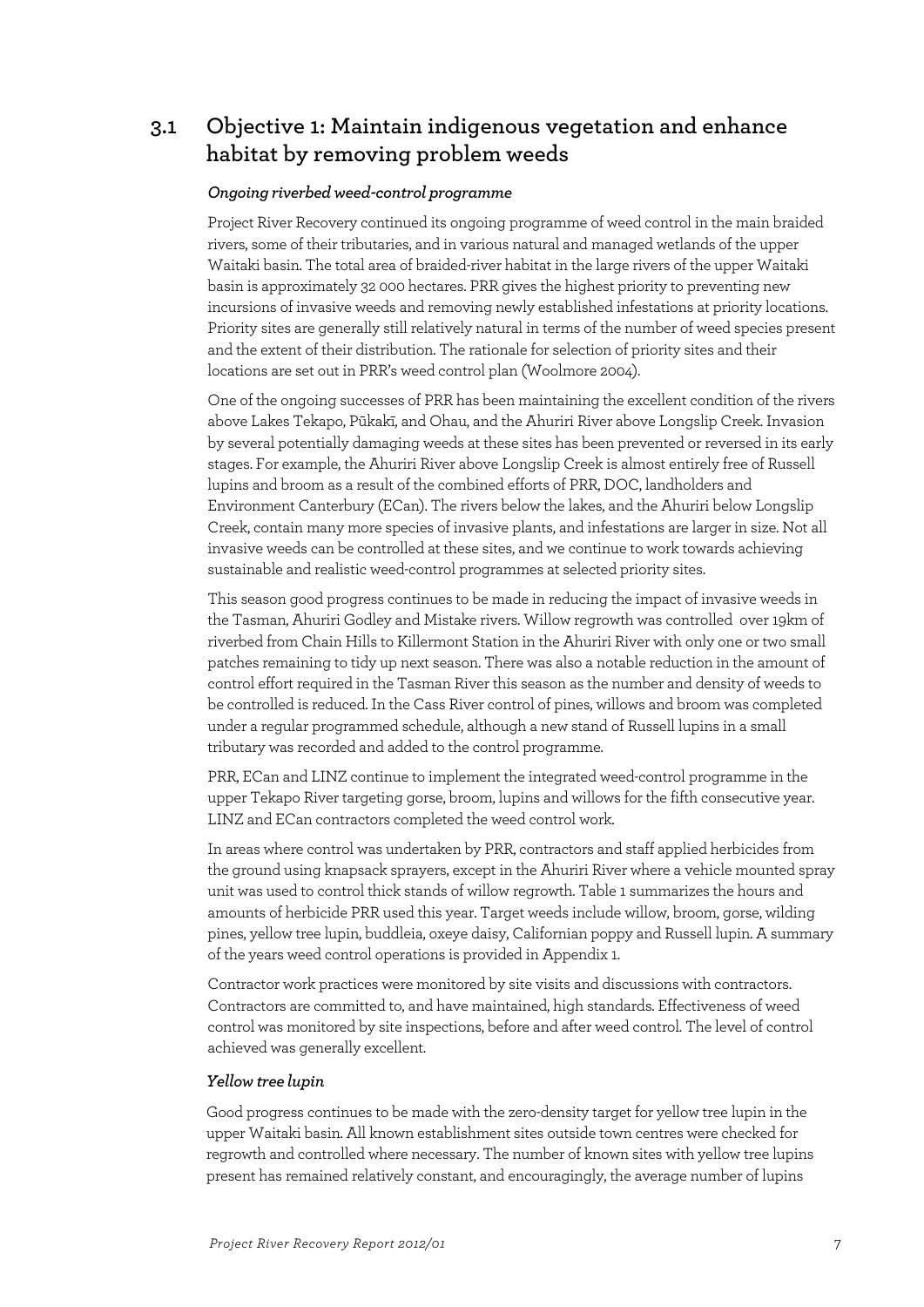### **3.1 Objective 1: Maintain indigenous vegetation and enhance habitat by removing problem weeds**

#### *Ongoing riverbed weed-control programme*

Project River Recovery continued its ongoing programme of weed control in the main braided rivers, some of their tributaries, and in various natural and managed wetlands of the upper Waitaki basin. The total area of braided-river habitat in the large rivers of the upper Waitaki basin is approximately 32 000 hectares. PRR gives the highest priority to preventing new incursions of invasive weeds and removing newly established infestations at priority locations. Priority sites are generally still relatively natural in terms of the number of weed species present and the extent of their distribution. The rationale for selection of priority sites and their locations are set out in PRR's weed control plan (Woolmore 2004).

One of the ongoing successes of PRR has been maintaining the excellent condition of the rivers above Lakes Tekapo, Pūkakī, and Ohau, and the Ahuriri River above Longslip Creek. Invasion by several potentially damaging weeds at these sites has been prevented or reversed in its early stages. For example, the Ahuriri River above Longslip Creek is almost entirely free of Russell lupins and broom as a result of the combined efforts of PRR, DOC, landholders and Environment Canterbury (ECan). The rivers below the lakes, and the Ahuriri below Longslip Creek, contain many more species of invasive plants, and infestations are larger in size. Not all invasive weeds can be controlled at these sites, and we continue to work towards achieving sustainable and realistic weed-control programmes at selected priority sites.

This season good progress continues to be made in reducing the impact of invasive weeds in the Tasman, Ahuriri Godley and Mistake rivers. Willow regrowth was controlled over 19km of riverbed from Chain Hills to Killermont Station in the Ahuriri River with only one or two small patches remaining to tidy up next season. There was also a notable reduction in the amount of control effort required in the Tasman River this season as the number and density of weeds to be controlled is reduced. In the Cass River control of pines, willows and broom was completed under a regular programmed schedule, although a new stand of Russell lupins in a small tributary was recorded and added to the control programme.

PRR, ECan and LINZ continue to implement the integrated weed-control programme in the upper Tekapo River targeting gorse, broom, lupins and willows for the fifth consecutive year. LINZ and ECan contractors completed the weed control work.

In areas where control was undertaken by PRR, contractors and staff applied herbicides from the ground using knapsack sprayers, except in the Ahuriri River where a vehicle mounted spray unit was used to control thick stands of willow regrowth. Table 1 summarizes the hours and amounts of herbicide PRR used this year. Target weeds include willow, broom, gorse, wilding pines, yellow tree lupin, buddleia, oxeye daisy, Californian poppy and Russell lupin. A summary of the years weed control operations is provided in Appendix 1.

Contractor work practices were monitored by site visits and discussions with contractors. Contractors are committed to, and have maintained, high standards. Effectiveness of weed control was monitored by site inspections, before and after weed control. The level of control achieved was generally excellent.

#### *Yellow tree lupin*

Good progress continues to be made with the zero-density target for yellow tree lupin in the upper Waitaki basin. All known establishment sites outside town centres were checked for regrowth and controlled where necessary. The number of known sites with yellow tree lupins present has remained relatively constant, and encouragingly, the average number of lupins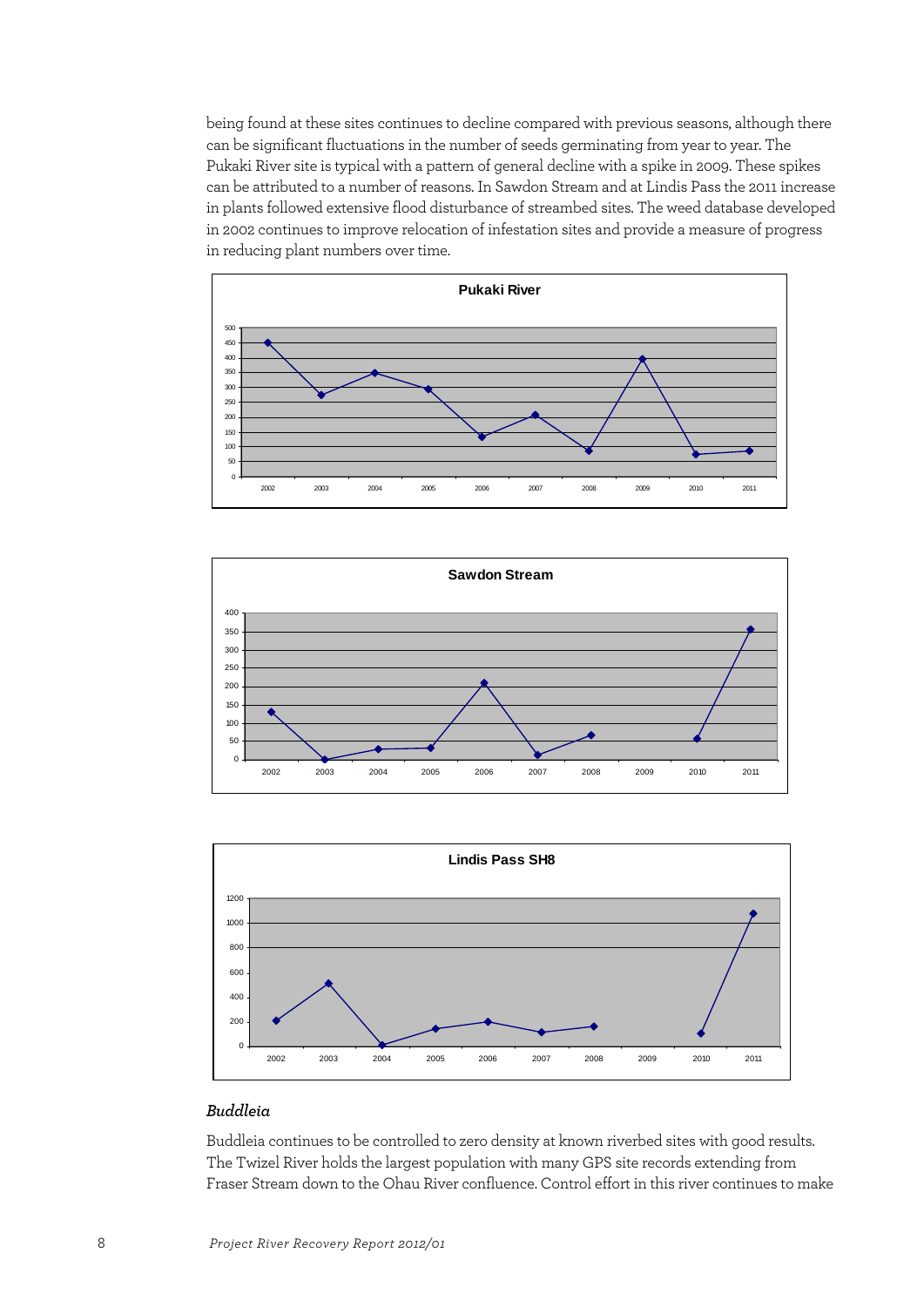being found at these sites continues to decline compared with previous seasons, although there can be significant fluctuations in the number of seeds germinating from year to year. The Pukaki River site is typical with a pattern of general decline with a spike in 2009. These spikes can be attributed to a number of reasons. In Sawdon Stream and at Lindis Pass the 2011 increase in plants followed extensive flood disturbance of streambed sites. The weed database developed in 2002 continues to improve relocation of infestation sites and provide a measure of progress in reducing plant numbers over time.







### *Buddleia*

Buddleia continues to be controlled to zero density at known riverbed sites with good results. The Twizel River holds the largest population with many GPS site records extending from Fraser Stream down to the Ohau River confluence. Control effort in this river continues to make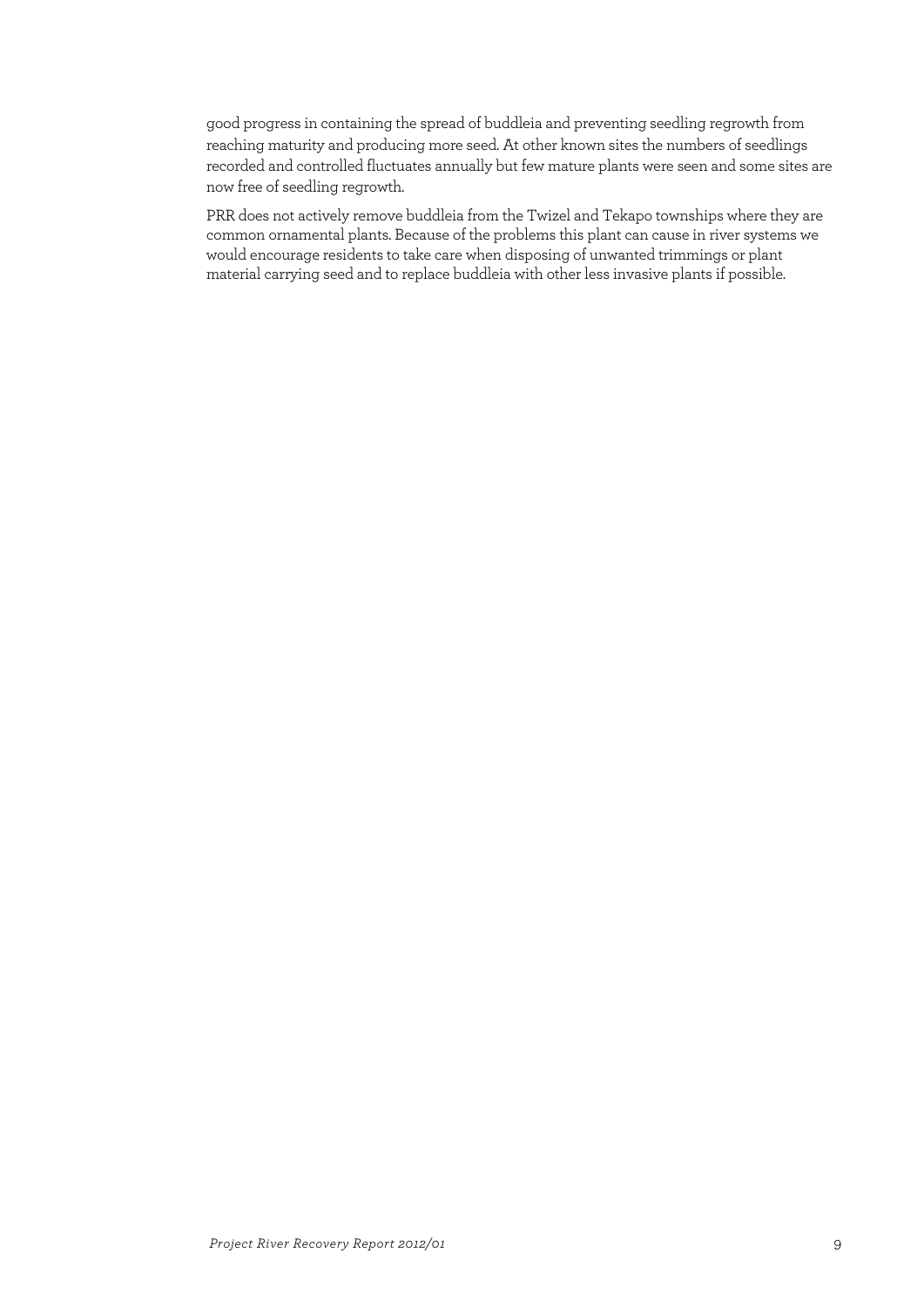good progress in containing the spread of buddleia and preventing seedling regrowth from reaching maturity and producing more seed. At other known sites the numbers of seedlings recorded and controlled fluctuates annually but few mature plants were seen and some sites are now free of seedling regrowth.

PRR does not actively remove buddleia from the Twizel and Tekapo townships where they are common ornamental plants. Because of the problems this plant can cause in river systems we would encourage residents to take care when disposing of unwanted trimmings or plant material carrying seed and to replace buddleia with other less invasive plants if possible.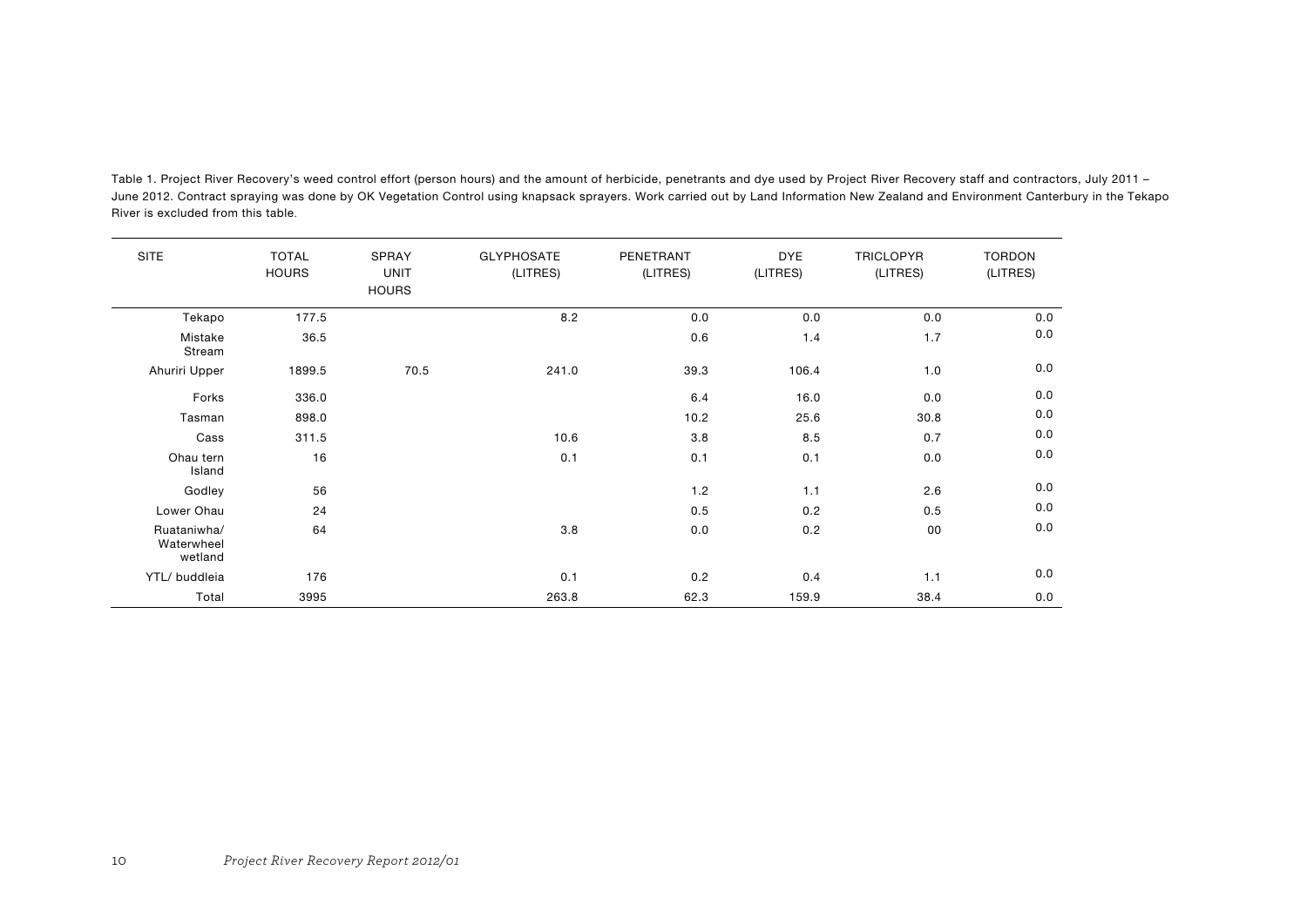| <b>SITE</b>                          | <b>TOTAL</b><br><b>HOURS</b> | SPRAY<br><b>UNIT</b><br><b>HOURS</b> | <b>GLYPHOSATE</b><br>(LITRES) | PENETRANT<br>(LITRES) | <b>DYE</b><br>(LITRES) | <b>TRICLOPYR</b><br>(LITRES) | <b>TORDON</b><br>(LITRES) |
|--------------------------------------|------------------------------|--------------------------------------|-------------------------------|-----------------------|------------------------|------------------------------|---------------------------|
| Tekapo                               | 177.5                        |                                      | 8.2                           | 0.0                   | 0.0                    | 0.0                          | 0.0                       |
| Mistake<br>Stream                    | 36.5                         |                                      |                               | 0.6                   | 1.4                    | 1.7                          | 0.0                       |
| Ahuriri Upper                        | 1899.5                       | 70.5                                 | 241.0                         | 39.3                  | 106.4                  | 1.0                          | 0.0                       |
| Forks                                | 336.0                        |                                      |                               | 6.4                   | 16.0                   | 0.0                          | 0.0                       |
| Tasman                               | 898.0                        |                                      |                               | 10.2                  | 25.6                   | 30.8                         | 0.0                       |
| Cass                                 | 311.5                        |                                      | 10.6                          | 3.8                   | 8.5                    | 0.7                          | 0.0                       |
| Ohau tern<br>Island                  | 16                           |                                      | 0.1                           | 0.1                   | 0.1                    | 0.0                          | 0.0                       |
| Godley                               | 56                           |                                      |                               | 1.2                   | 1.1                    | 2.6                          | 0.0                       |
| Lower Ohau                           | 24                           |                                      |                               | 0.5                   | 0.2                    | 0.5                          | 0.0                       |
| Ruataniwha/<br>Waterwheel<br>wetland | 64                           |                                      | 3.8                           | 0.0                   | 0.2                    | 00                           | 0.0                       |
| YTL/ buddleia                        | 176                          |                                      | 0.1                           | 0.2                   | 0.4                    | 1.1                          | 0.0                       |
| Total                                | 3995                         |                                      | 263.8                         | 62.3                  | 159.9                  | 38.4                         | 0.0                       |

Table 1. Project River Recovery's weed control effort (person hours) and the amount of herbicide, penetrants and dye used by Project River Recovery staff and contractors, July 2011 -June 2012. Contract spraying was done by OK Vegetation Control using knapsack sprayers. Work carried out by Land Information New Zealand and Environment Canterbury in the Tekapo River is excluded from this table.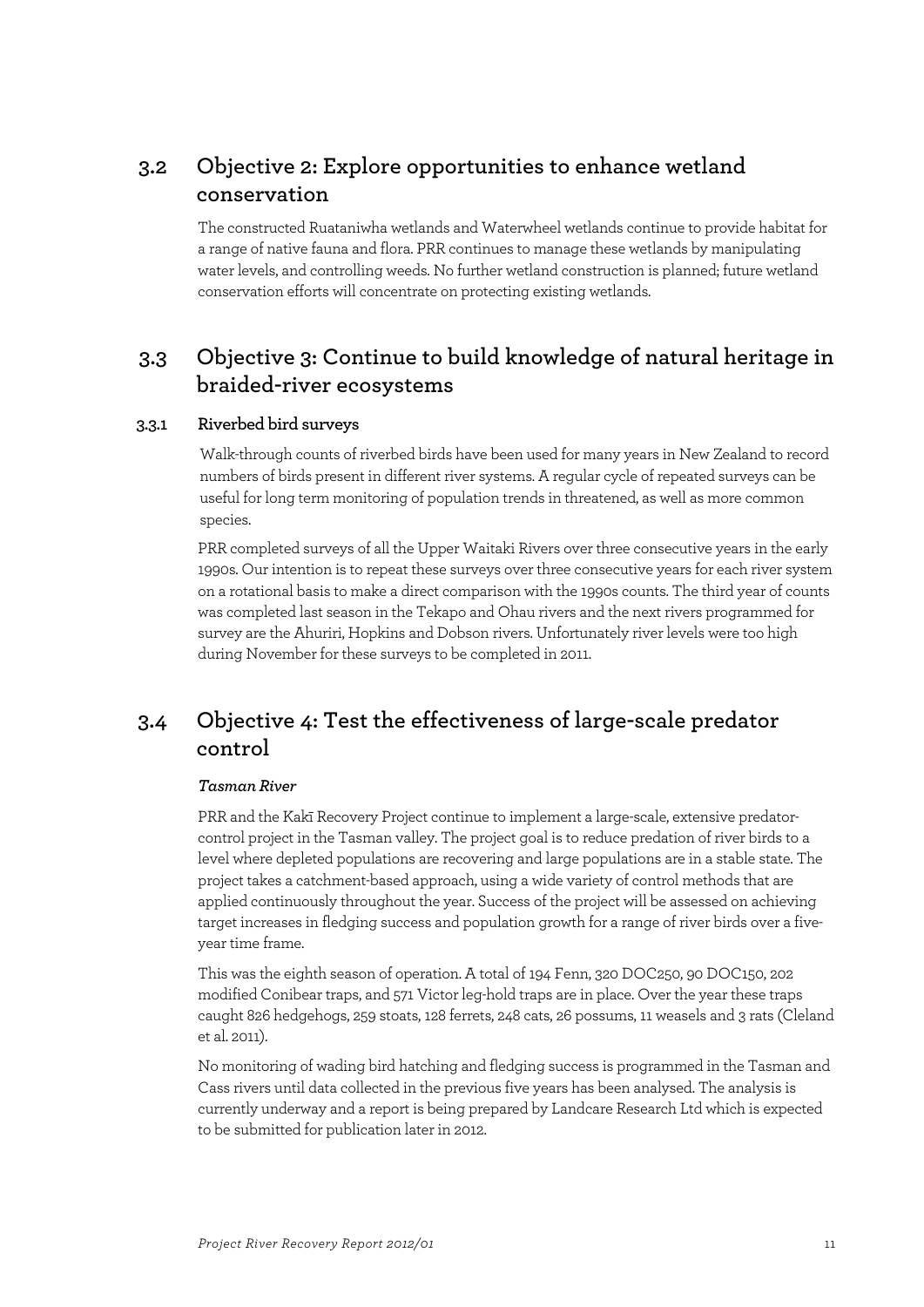### **3.2 Objective 2: Explore opportunities to enhance wetland conservation**

The constructed Ruataniwha wetlands and Waterwheel wetlands continue to provide habitat for a range of native fauna and flora. PRR continues to manage these wetlands by manipulating water levels, and controlling weeds. No further wetland construction is planned; future wetland conservation efforts will concentrate on protecting existing wetlands.

### **3.3 Objective 3: Continue to build knowledge of natural heritage in braided-river ecosystems**

### **3.3.1 Riverbed bird surveys**

Walk-through counts of riverbed birds have been used for many years in New Zealand to record numbers of birds present in different river systems. A regular cycle of repeated surveys can be useful for long term monitoring of population trends in threatened, as well as more common species.

PRR completed surveys of all the Upper Waitaki Rivers over three consecutive years in the early 1990s. Our intention is to repeat these surveys over three consecutive years for each river system on a rotational basis to make a direct comparison with the 1990s counts. The third year of counts was completed last season in the Tekapo and Ohau rivers and the next rivers programmed for survey are the Ahuriri, Hopkins and Dobson rivers. Unfortunately river levels were too high during November for these surveys to be completed in 2011.

### **3.4 Objective 4: Test the effectiveness of large-scale predator control**

#### *Tasman River*

PRR and the Kakī Recovery Project continue to implement a large-scale, extensive predatorcontrol project in the Tasman valley. The project goal is to reduce predation of river birds to a level where depleted populations are recovering and large populations are in a stable state. The project takes a catchment-based approach, using a wide variety of control methods that are applied continuously throughout the year. Success of the project will be assessed on achieving target increases in fledging success and population growth for a range of river birds over a fiveyear time frame.

This was the eighth season of operation. A total of 194 Fenn, 320 DOC250, 90 DOC150, 202 modified Conibear traps, and 571 Victor leg-hold traps are in place. Over the year these traps caught 826 hedgehogs, 259 stoats, 128 ferrets, 248 cats, 26 possums, 11 weasels and 3 rats (Cleland et al. 2011).

No monitoring of wading bird hatching and fledging success is programmed in the Tasman and Cass rivers until data collected in the previous five years has been analysed. The analysis is currently underway and a report is being prepared by Landcare Research Ltd which is expected to be submitted for publication later in 2012.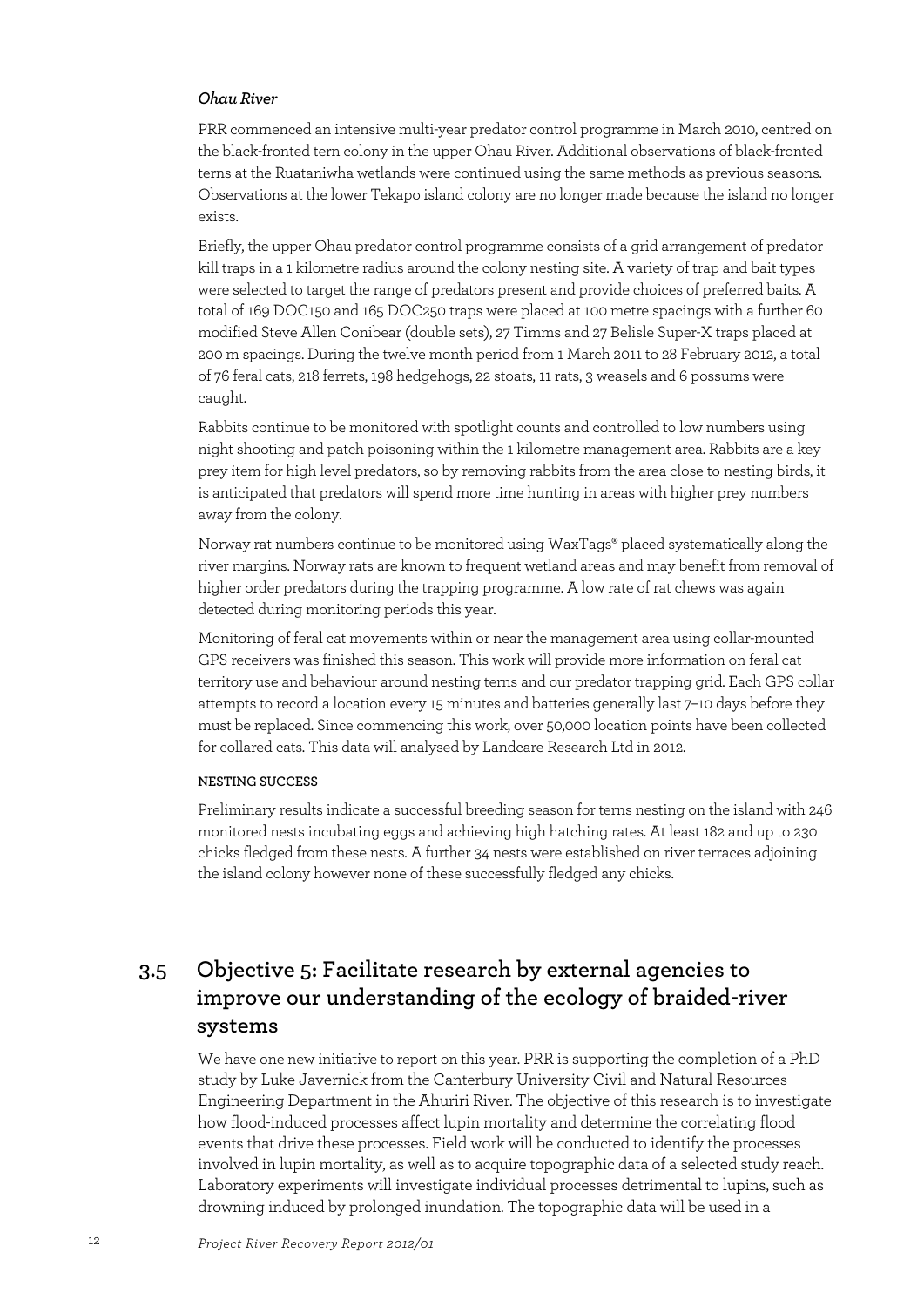#### *Ohau River*

PRR commenced an intensive multi-year predator control programme in March 2010, centred on the black-fronted tern colony in the upper Ohau River. Additional observations of black-fronted terns at the Ruataniwha wetlands were continued using the same methods as previous seasons. Observations at the lower Tekapo island colony are no longer made because the island no longer exists.

Briefly, the upper Ohau predator control programme consists of a grid arrangement of predator kill traps in a 1 kilometre radius around the colony nesting site. A variety of trap and bait types were selected to target the range of predators present and provide choices of preferred baits. A total of 169 DOC150 and 165 DOC250 traps were placed at 100 metre spacings with a further 60 modified Steve Allen Conibear (double sets), 27 Timms and 27 Belisle Super-X traps placed at 200 m spacings. During the twelve month period from 1 March 2011 to 28 February 2012, a total of 76 feral cats, 218 ferrets, 198 hedgehogs, 22 stoats, 11 rats, 3 weasels and 6 possums were caught.

Rabbits continue to be monitored with spotlight counts and controlled to low numbers using night shooting and patch poisoning within the 1 kilometre management area. Rabbits are a key prey item for high level predators, so by removing rabbits from the area close to nesting birds, it is anticipated that predators will spend more time hunting in areas with higher prey numbers away from the colony.

Norway rat numbers continue to be monitored using WaxTags® placed systematically along the river margins. Norway rats are known to frequent wetland areas and may benefit from removal of higher order predators during the trapping programme. A low rate of rat chews was again detected during monitoring periods this year.

Monitoring of feral cat movements within or near the management area using collar-mounted GPS receivers was finished this season. This work will provide more information on feral cat territory use and behaviour around nesting terns and our predator trapping grid. Each GPS collar attempts to record a location every 15 minutes and batteries generally last 7–10 days before they must be replaced. Since commencing this work, over 50,000 location points have been collected for collared cats. This data will analysed by Landcare Research Ltd in 2012.

#### **NESTING SUCCESS**

Preliminary results indicate a successful breeding season for terns nesting on the island with 246 monitored nests incubating eggs and achieving high hatching rates. At least 182 and up to 230 chicks fledged from these nests. A further 34 nests were established on river terraces adjoining the island colony however none of these successfully fledged any chicks.

## **3.5 Objective 5: Facilitate research by external agencies to improve our understanding of the ecology of braided-river systems**

We have one new initiative to report on this year. PRR is supporting the completion of a PhD study by Luke Javernick from the Canterbury University Civil and Natural Resources Engineering Department in the Ahuriri River. The objective of this research is to investigate how flood-induced processes affect lupin mortality and determine the correlating flood events that drive these processes. Field work will be conducted to identify the processes involved in lupin mortality, as well as to acquire topographic data of a selected study reach. Laboratory experiments will investigate individual processes detrimental to lupins, such as drowning induced by prolonged inundation. The topographic data will be used in a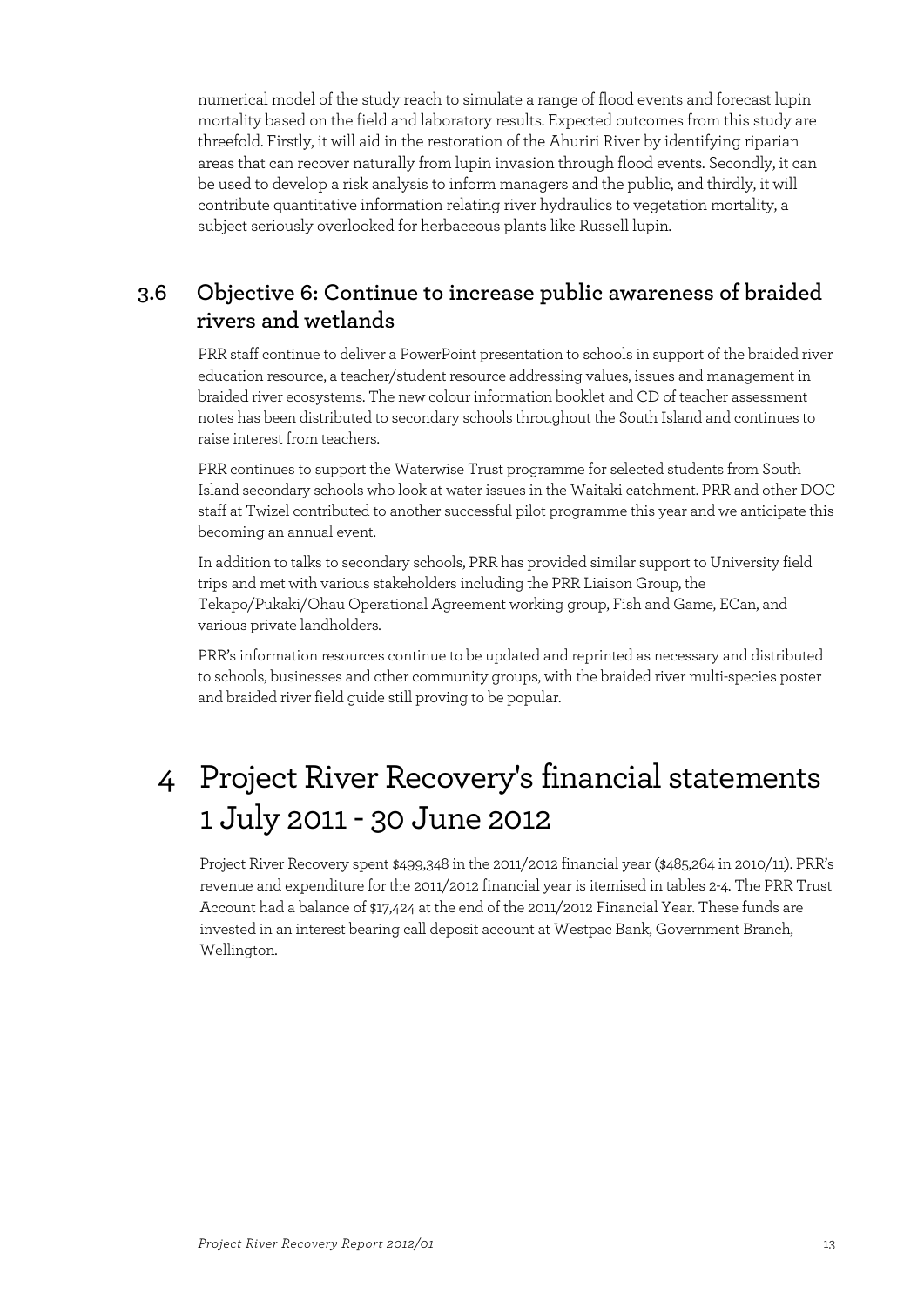numerical model of the study reach to simulate a range of flood events and forecast lupin mortality based on the field and laboratory results. Expected outcomes from this study are threefold. Firstly, it will aid in the restoration of the Ahuriri River by identifying riparian areas that can recover naturally from lupin invasion through flood events. Secondly, it can be used to develop a risk analysis to inform managers and the public, and thirdly, it will contribute quantitative information relating river hydraulics to vegetation mortality, a subject seriously overlooked for herbaceous plants like Russell lupin.

### **3.6 Objective 6: Continue to increase public awareness of braided rivers and wetlands**

PRR staff continue to deliver a PowerPoint presentation to schools in support of the braided river education resource, a teacher/student resource addressing values, issues and management in braided river ecosystems. The new colour information booklet and CD of teacher assessment notes has been distributed to secondary schools throughout the South Island and continues to raise interest from teachers.

PRR continues to support the Waterwise Trust programme for selected students from South Island secondary schools who look at water issues in the Waitaki catchment. PRR and other DOC staff at Twizel contributed to another successful pilot programme this year and we anticipate this becoming an annual event.

In addition to talks to secondary schools, PRR has provided similar support to University field trips and met with various stakeholders including the PRR Liaison Group, the Tekapo/Pukaki/Ohau Operational Agreement working group, Fish and Game, ECan, and various private landholders.

PRR's information resources continue to be updated and reprinted as necessary and distributed to schools, businesses and other community groups, with the braided river multi-species poster and braided river field guide still proving to be popular.

# 4 Project River Recovery's financial statements 1 July 2011 - 30 June 2012

Project River Recovery spent \$499,348 in the 2011/2012 financial year (\$485,264 in 2010/11). PRR's revenue and expenditure for the 2011/2012 financial year is itemised in tables 2-4. The PRR Trust Account had a balance of \$17,424 at the end of the 2011/2012 Financial Year. These funds are invested in an interest bearing call deposit account at Westpac Bank, Government Branch, Wellington.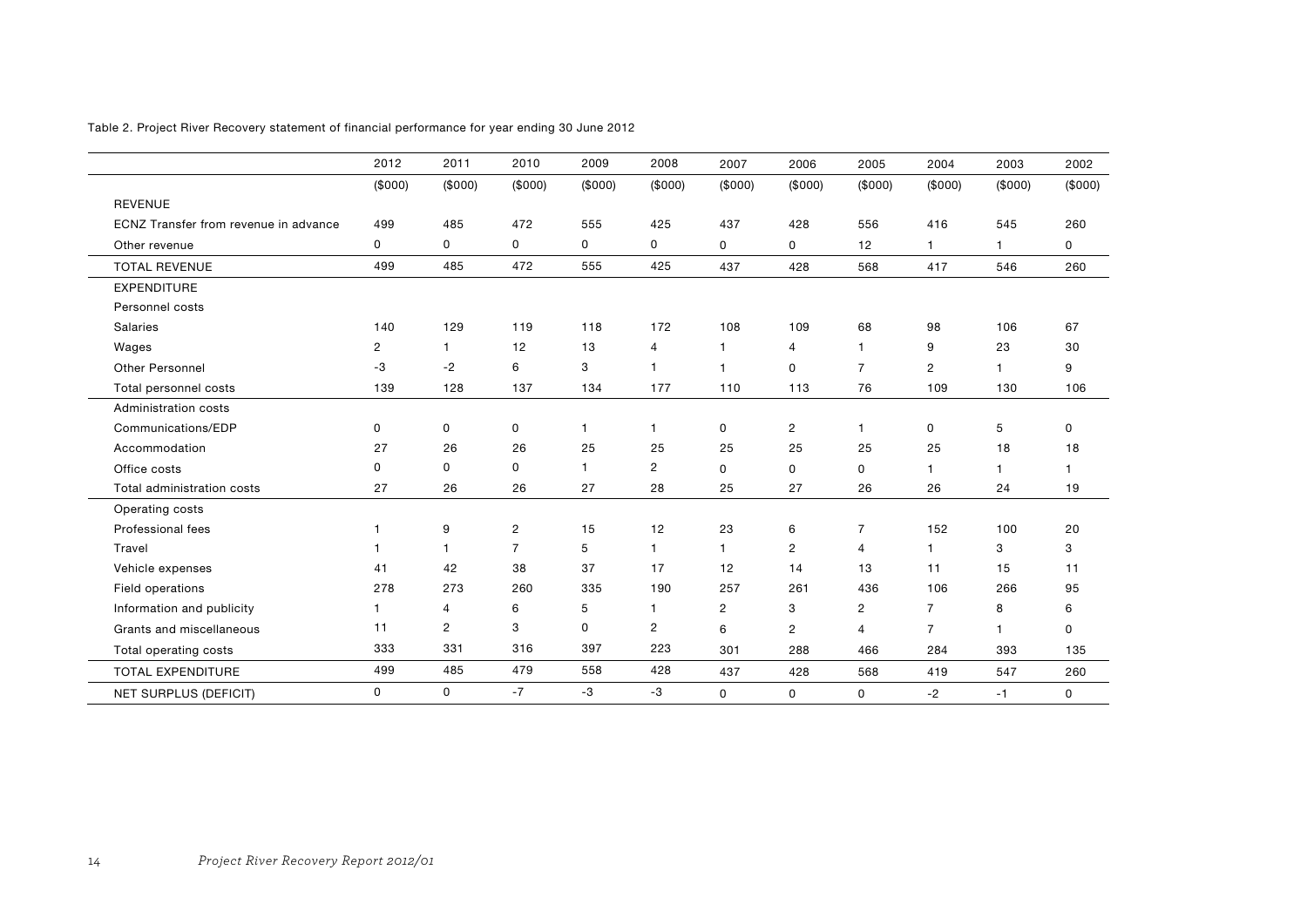|                                       | 2012           | 2011           | 2010           | 2009         | 2008           | 2007           | 2006           | 2005           | 2004           | 2003    | 2002    |
|---------------------------------------|----------------|----------------|----------------|--------------|----------------|----------------|----------------|----------------|----------------|---------|---------|
|                                       | (\$000)        | (\$000)        | (\$000)        | (\$000)      | (\$000)        | (\$000)        | (\$000)        | (\$000)        | (\$000)        | (\$000) | (\$000) |
| <b>REVENUE</b>                        |                |                |                |              |                |                |                |                |                |         |         |
| ECNZ Transfer from revenue in advance | 499            | 485            | 472            | 555          | 425            | 437            | 428            | 556            | 416            | 545     | 260     |
| Other revenue                         | 0              | 0              | 0              | 0            | 0              | 0              | 0              | 12             | $\overline{1}$ | 1       | 0       |
| <b>TOTAL REVENUE</b>                  | 499            | 485            | 472            | 555          | 425            | 437            | 428            | 568            | 417            | 546     | 260     |
| <b>EXPENDITURE</b>                    |                |                |                |              |                |                |                |                |                |         |         |
| Personnel costs                       |                |                |                |              |                |                |                |                |                |         |         |
| Salaries                              | 140            | 129            | 119            | 118          | 172            | 108            | 109            | 68             | 98             | 106     | 67      |
| Wages                                 | $\overline{c}$ | 1              | 12             | 13           | 4              | $\mathbf{1}$   | $\overline{4}$ | 1              | 9              | 23      | 30      |
| Other Personnel                       | -3             | $-2$           | 6              | 3            | $\mathbf{1}$   | $\mathbf{1}$   | $\Omega$       | $\overline{7}$ | $\overline{2}$ | 1       | 9       |
| Total personnel costs                 | 139            | 128            | 137            | 134          | 177            | 110            | 113            | 76             | 109            | 130     | 106     |
| Administration costs                  |                |                |                |              |                |                |                |                |                |         |         |
| Communications/EDP                    | 0              | 0              | 0              | 1            | 1              | 0              | $\overline{2}$ | $\mathbf{1}$   | 0              | 5       | 0       |
| Accommodation                         | 27             | 26             | 26             | 25           | 25             | 25             | 25             | 25             | 25             | 18      | 18      |
| Office costs                          | 0              | 0              | 0              | $\mathbf{1}$ | $\overline{c}$ | 0              | 0              | $\mathbf 0$    | 1              | 1       | 1       |
| Total administration costs            | 27             | 26             | 26             | 27           | 28             | 25             | 27             | 26             | 26             | 24      | 19      |
| Operating costs                       |                |                |                |              |                |                |                |                |                |         |         |
| Professional fees                     | 1              | 9              | $\overline{c}$ | 15           | 12             | 23             | 6              | 7              | 152            | 100     | 20      |
| Travel                                | 1              | 1              | $\overline{7}$ | 5            | $\mathbf{1}$   | $\mathbf{1}$   | $\overline{c}$ | $\overline{4}$ | $\overline{1}$ | 3       | 3       |
| Vehicle expenses                      | 41             | 42             | 38             | 37           | 17             | 12             | 14             | 13             | 11             | 15      | 11      |
| Field operations                      | 278            | 273            | 260            | 335          | 190            | 257            | 261            | 436            | 106            | 266     | 95      |
| Information and publicity             | 1.             | 4              | 6              | 5            | $\mathbf{1}$   | $\overline{c}$ | 3              | $\mathbf{2}$   | $\overline{7}$ | 8       | 6       |
| Grants and miscellaneous              | 11             | $\overline{c}$ | 3              | 0            | $\overline{2}$ | 6              | $\overline{2}$ | $\overline{4}$ | $\overline{7}$ | 1       | 0       |
| Total operating costs                 | 333            | 331            | 316            | 397          | 223            | 301            | 288            | 466            | 284            | 393     | 135     |
| <b>TOTAL EXPENDITURE</b>              | 499            | 485            | 479            | 558          | 428            | 437            | 428            | 568            | 419            | 547     | 260     |
| <b>NET SURPLUS (DEFICIT)</b>          | 0              | 0              | $-7$           | $-3$         | -3             | 0              | 0              | 0              | $-2$           | $-1$    | 0       |

Table 2. Project River Recovery statement of financial performance for year ending 30 June 2012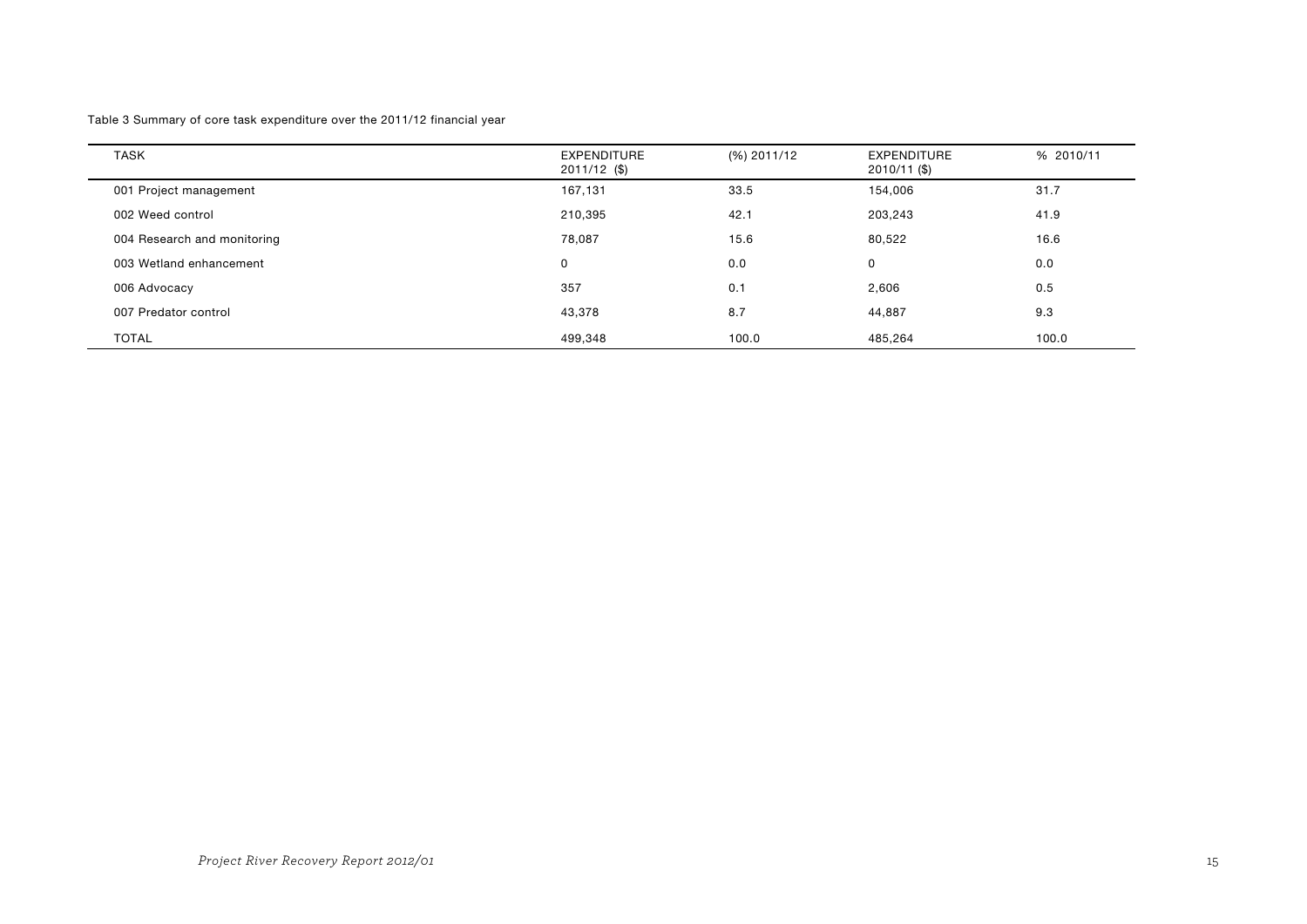Table 3 Summary of core task expenditure over the 2011/12 financial year

| <b>TASK</b>                 | <b>EXPENDITURE</b><br>2011/12 (\$) | (%) 2011/12 | <b>EXPENDITURE</b><br>2010/11 (\$) | % 2010/11 |
|-----------------------------|------------------------------------|-------------|------------------------------------|-----------|
| 001 Project management      | 167,131                            | 33.5        | 154,006                            | 31.7      |
| 002 Weed control            | 210,395                            | 42.1        | 203,243                            | 41.9      |
| 004 Research and monitoring | 78,087                             | 15.6        | 80,522                             | 16.6      |
| 003 Wetland enhancement     | 0                                  | 0.0         | $\mathbf{0}$                       | 0.0       |
| 006 Advocacy                | 357                                | 0.1         | 2,606                              | 0.5       |
| 007 Predator control        | 43,378                             | 8.7         | 44,887                             | 9.3       |
| <b>TOTAL</b>                | 499,348                            | 100.0       | 485.264                            | 100.0     |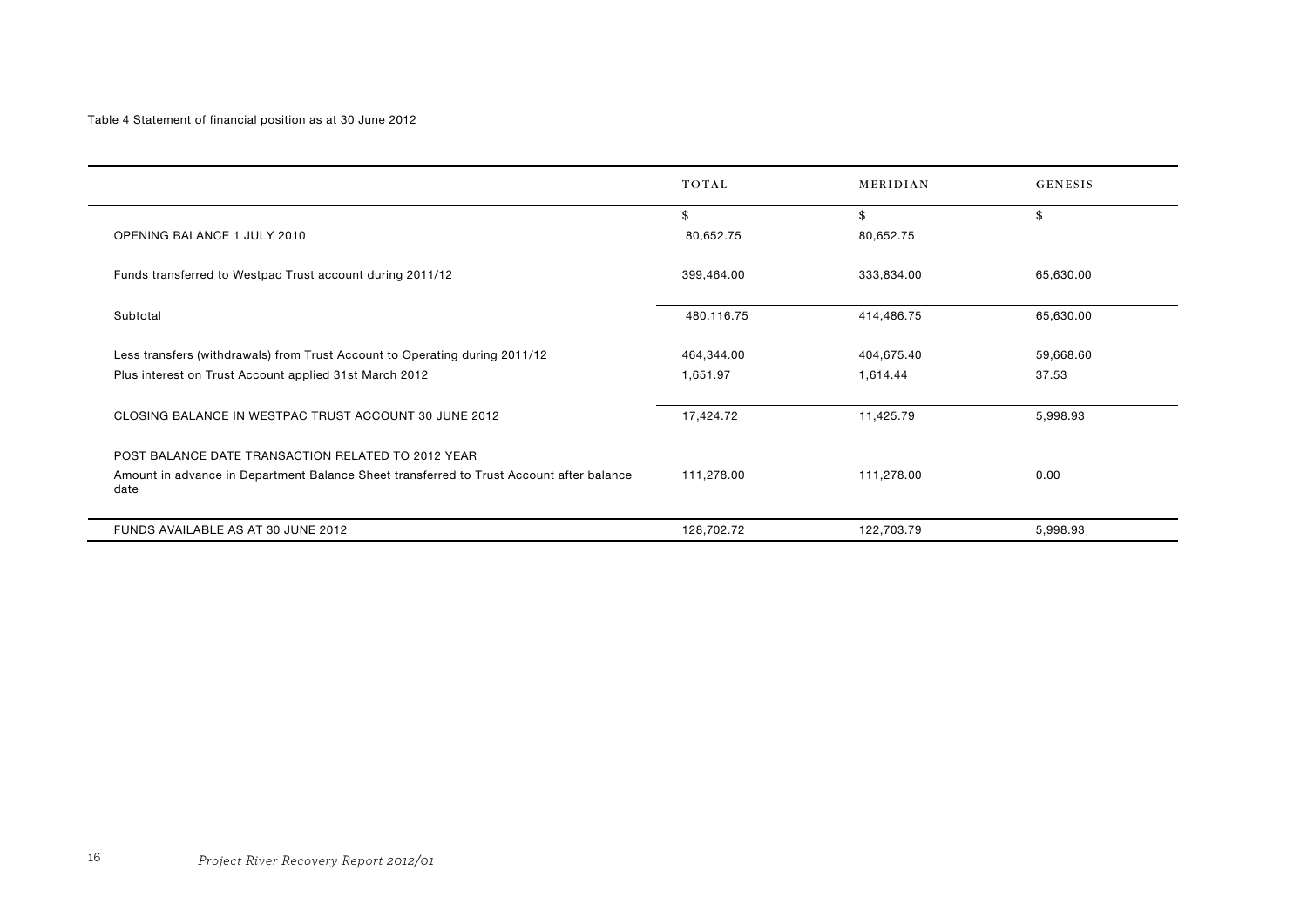#### Table 4 Statement of financial position as at 30 June 2012

|                                                                                                  | TOTAL      | MERIDIAN   | <b>GENESIS</b> |
|--------------------------------------------------------------------------------------------------|------------|------------|----------------|
|                                                                                                  | \$         | \$         | \$             |
| OPENING BALANCE 1 JULY 2010                                                                      | 80,652.75  | 80,652.75  |                |
| Funds transferred to Westpac Trust account during 2011/12                                        | 399,464.00 | 333,834.00 | 65,630.00      |
| Subtotal                                                                                         | 480,116.75 | 414,486.75 | 65,630.00      |
| Less transfers (withdrawals) from Trust Account to Operating during 2011/12                      | 464,344.00 | 404,675.40 | 59,668.60      |
| Plus interest on Trust Account applied 31st March 2012                                           | 1,651.97   | 1,614.44   | 37.53          |
| CLOSING BALANCE IN WESTPAC TRUST ACCOUNT 30 JUNE 2012                                            | 17,424.72  | 11,425.79  | 5,998.93       |
| POST BALANCE DATE TRANSACTION RELATED TO 2012 YEAR                                               |            |            |                |
| Amount in advance in Department Balance Sheet transferred to Trust Account after balance<br>date | 111,278.00 | 111,278.00 | 0.00           |
| FUNDS AVAILABLE AS AT 30 JUNE 2012                                                               | 128,702.72 | 122,703.79 | 5,998.93       |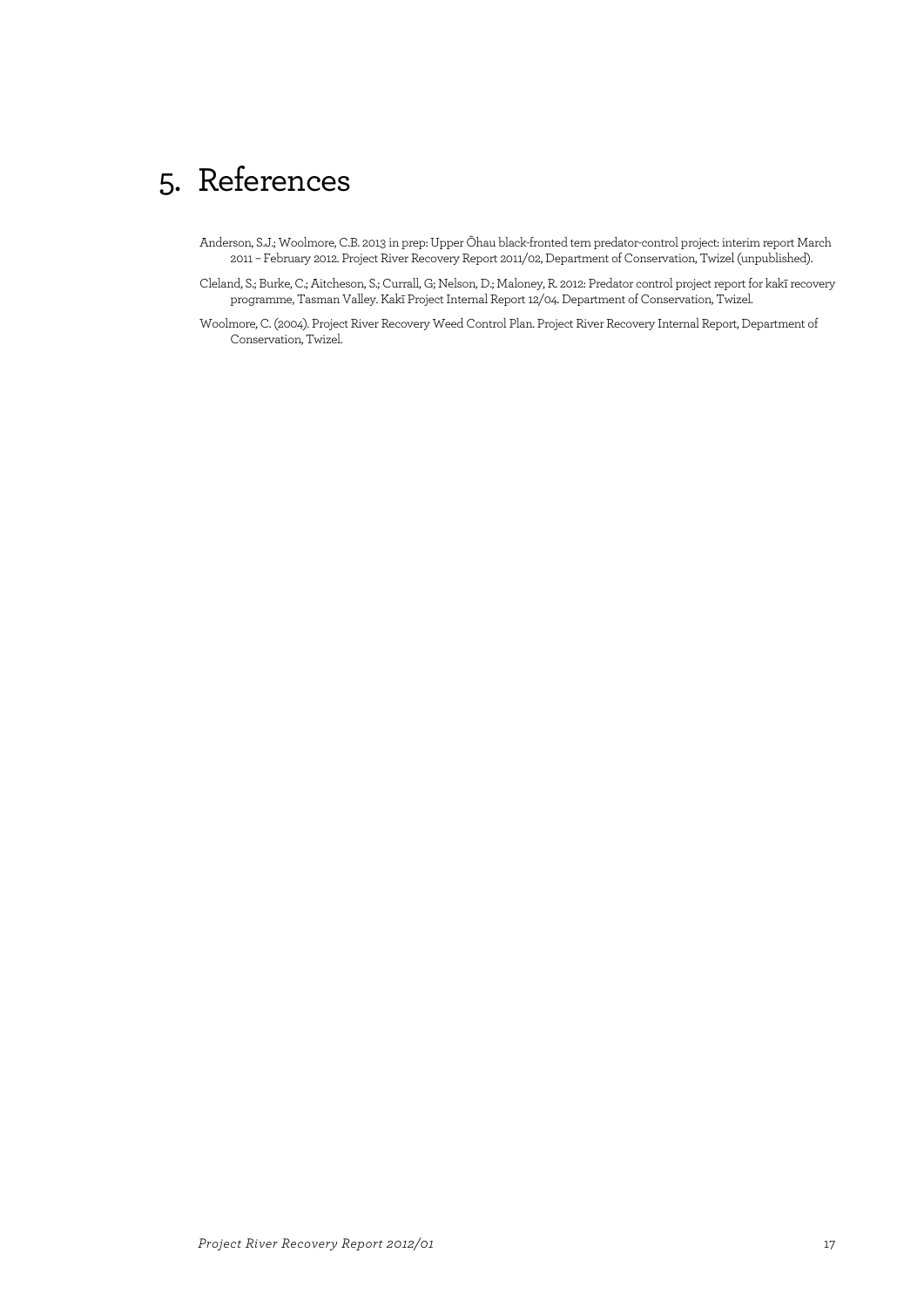# 5. References

- Anderson, S.J.; Woolmore, C.B. 2013 in prep: Upper Ōhau black-fronted tern predator-control project: interim report March 2011 – February 2012. Project River Recovery Report 2011/02, Department of Conservation, Twizel (unpublished).
- Cleland, S.; Burke, C.; Aitcheson, S.; Currall, G; Nelson, D.; Maloney, R. 2012: Predator control project report for kakī recovery programme, Tasman Valley. Kakī Project Internal Report 12/04. Department of Conservation, Twizel.
- Woolmore, C. (2004). Project River Recovery Weed Control Plan. Project River Recovery Internal Report, Department of Conservation, Twizel.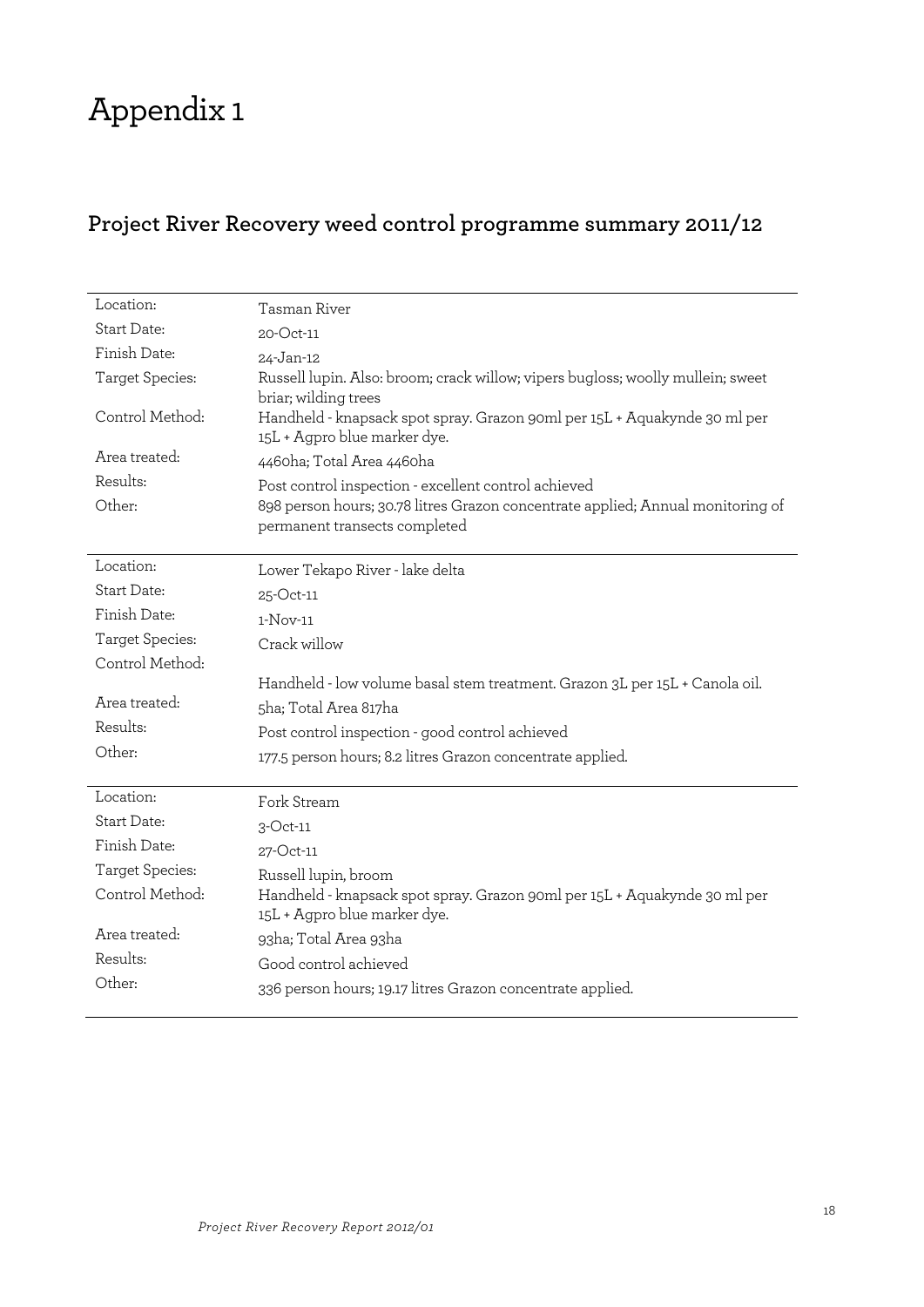# Appendix 1

# **Project River Recovery weed control programme summary 2011/12**

| Location:          | Tasman River                                                                                                     |
|--------------------|------------------------------------------------------------------------------------------------------------------|
| Start Date:        | 20-Oct-11                                                                                                        |
| Finish Date:       | 24-Jan-12                                                                                                        |
| Target Species:    | Russell lupin. Also: broom; crack willow; vipers bugloss; woolly mullein; sweet<br>briar; wilding trees          |
| Control Method:    | Handheld - knapsack spot spray. Grazon 90ml per 15L + Aquakynde 30 ml per<br>15L + Agpro blue marker dye.        |
| Area treated:      | 4460ha; Total Area 4460ha                                                                                        |
| Results:           | Post control inspection - excellent control achieved                                                             |
| Other:             | 898 person hours; 30.78 litres Grazon concentrate applied; Annual monitoring of<br>permanent transects completed |
| Location:          | Lower Tekapo River - lake delta                                                                                  |
| Start Date:        | 25-Oct-11                                                                                                        |
| Finish Date:       | $1-Nov-11$                                                                                                       |
| Target Species:    | Crack willow                                                                                                     |
| Control Method:    |                                                                                                                  |
|                    | Handheld - low volume basal stem treatment. Grazon 3L per 15L + Canola oil.                                      |
| Area treated:      | 5ha; Total Area 817ha                                                                                            |
| Results:           | Post control inspection - good control achieved                                                                  |
| Other:             | 177.5 person hours; 8.2 litres Grazon concentrate applied.                                                       |
| Location:          | Fork Stream                                                                                                      |
| <b>Start Date:</b> | $3$ -Oct-11                                                                                                      |
| Finish Date:       | 27-Oct-11                                                                                                        |
| Target Species:    | Russell lupin, broom                                                                                             |
| Control Method:    | Handheld - knapsack spot spray. Grazon 90ml per 15L + Aquakynde 30 ml per<br>15L + Agpro blue marker dye.        |
| Area treated:      | 93ha; Total Area 93ha                                                                                            |
| Results:           | Good control achieved                                                                                            |
| Other:             | 336 person hours; 19.17 litres Grazon concentrate applied.                                                       |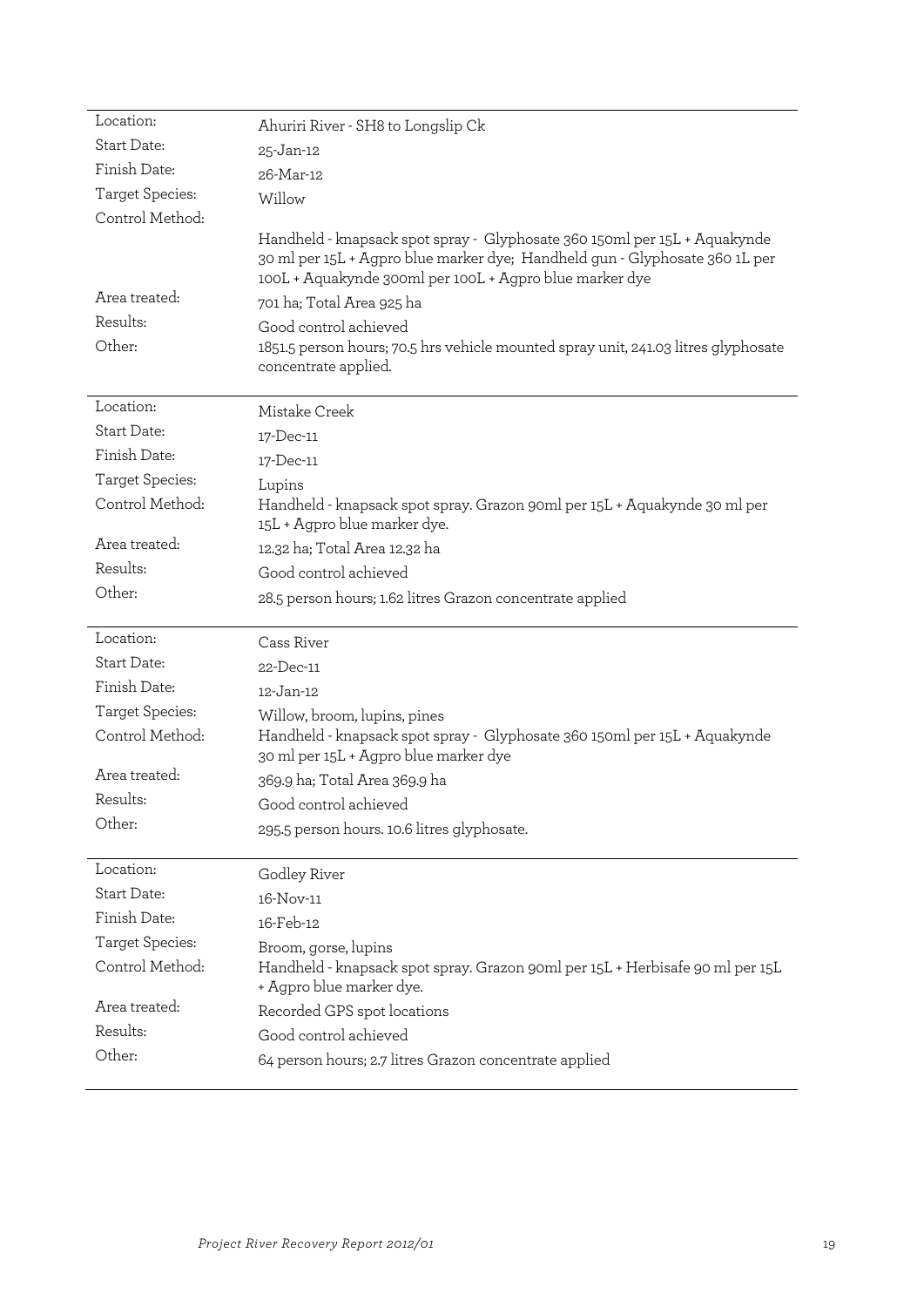| Location:                           | Ahuriri River - SH8 to Longslip Ck                                                                                                                                                                                                                                                                                                                              |
|-------------------------------------|-----------------------------------------------------------------------------------------------------------------------------------------------------------------------------------------------------------------------------------------------------------------------------------------------------------------------------------------------------------------|
| Start Date:                         | 25-Jan-12                                                                                                                                                                                                                                                                                                                                                       |
| Finish Date:                        | 26-Mar-12                                                                                                                                                                                                                                                                                                                                                       |
| Target Species:                     | Willow                                                                                                                                                                                                                                                                                                                                                          |
| Control Method:                     |                                                                                                                                                                                                                                                                                                                                                                 |
| Area treated:<br>Results:<br>Other: | Handheld - knapsack spot spray - Glyphosate 360 150ml per 15L + Aquakynde<br>30 ml per 15L + Agpro blue marker dye; Handheld gun - Glyphosate 360 1L per<br>100L + Aquakynde 300ml per 100L + Agpro blue marker dye<br>701 ha; Total Area 925 ha<br>Good control achieved<br>1851.5 person hours; 70.5 hrs vehicle mounted spray unit, 241.03 litres glyphosate |
|                                     | concentrate applied.                                                                                                                                                                                                                                                                                                                                            |
| Location:                           | Mistake Creek                                                                                                                                                                                                                                                                                                                                                   |
| Start Date:                         | 17-Dec-11                                                                                                                                                                                                                                                                                                                                                       |
| Finish Date:                        | 17-Dec-11                                                                                                                                                                                                                                                                                                                                                       |
| Target Species:                     | Lupins                                                                                                                                                                                                                                                                                                                                                          |
| Control Method:                     | Handheld - knapsack spot spray. Grazon 90ml per 15L + Aquakynde 30 ml per<br>15L + Agpro blue marker dye.                                                                                                                                                                                                                                                       |
| Area treated:                       | 12.32 ha; Total Area 12.32 ha                                                                                                                                                                                                                                                                                                                                   |
| Results:                            | Good control achieved                                                                                                                                                                                                                                                                                                                                           |
| Other:                              | 28.5 person hours; 1.62 litres Grazon concentrate applied                                                                                                                                                                                                                                                                                                       |
|                                     |                                                                                                                                                                                                                                                                                                                                                                 |
| Location:                           | Cass River                                                                                                                                                                                                                                                                                                                                                      |
| <b>Start Date:</b>                  | 22-Dec-11                                                                                                                                                                                                                                                                                                                                                       |
| Finish Date:                        | 12-Jan-12                                                                                                                                                                                                                                                                                                                                                       |
| Target Species:                     | Willow, broom, lupins, pines                                                                                                                                                                                                                                                                                                                                    |
| Control Method:                     | Handheld - knapsack spot spray - Glyphosate 360 150ml per 15L + Aquakynde<br>30 ml per 15L + Agpro blue marker dye                                                                                                                                                                                                                                              |
| Area treated:                       | 369.9 ha; Total Area 369.9 ha                                                                                                                                                                                                                                                                                                                                   |
| Results:                            | Good control achieved                                                                                                                                                                                                                                                                                                                                           |
| Other:                              | 295.5 person hours. 10.6 litres glyphosate.                                                                                                                                                                                                                                                                                                                     |
|                                     |                                                                                                                                                                                                                                                                                                                                                                 |
| Location:                           | Godley River                                                                                                                                                                                                                                                                                                                                                    |
| Start Date:                         | 16-Nov-11                                                                                                                                                                                                                                                                                                                                                       |
| Finish Date:                        | 16-Feb-12                                                                                                                                                                                                                                                                                                                                                       |
| Target Species:                     | Broom, gorse, lupins                                                                                                                                                                                                                                                                                                                                            |
| Control Method:                     |                                                                                                                                                                                                                                                                                                                                                                 |
|                                     | Handheld - knapsack spot spray. Grazon 90ml per 15L + Herbisafe 90 ml per 15L<br>+ Agpro blue marker dye.                                                                                                                                                                                                                                                       |
| Area treated:                       | Recorded GPS spot locations                                                                                                                                                                                                                                                                                                                                     |
| Results:                            | Good control achieved                                                                                                                                                                                                                                                                                                                                           |
| Other:                              | 64 person hours; 2.7 litres Grazon concentrate applied                                                                                                                                                                                                                                                                                                          |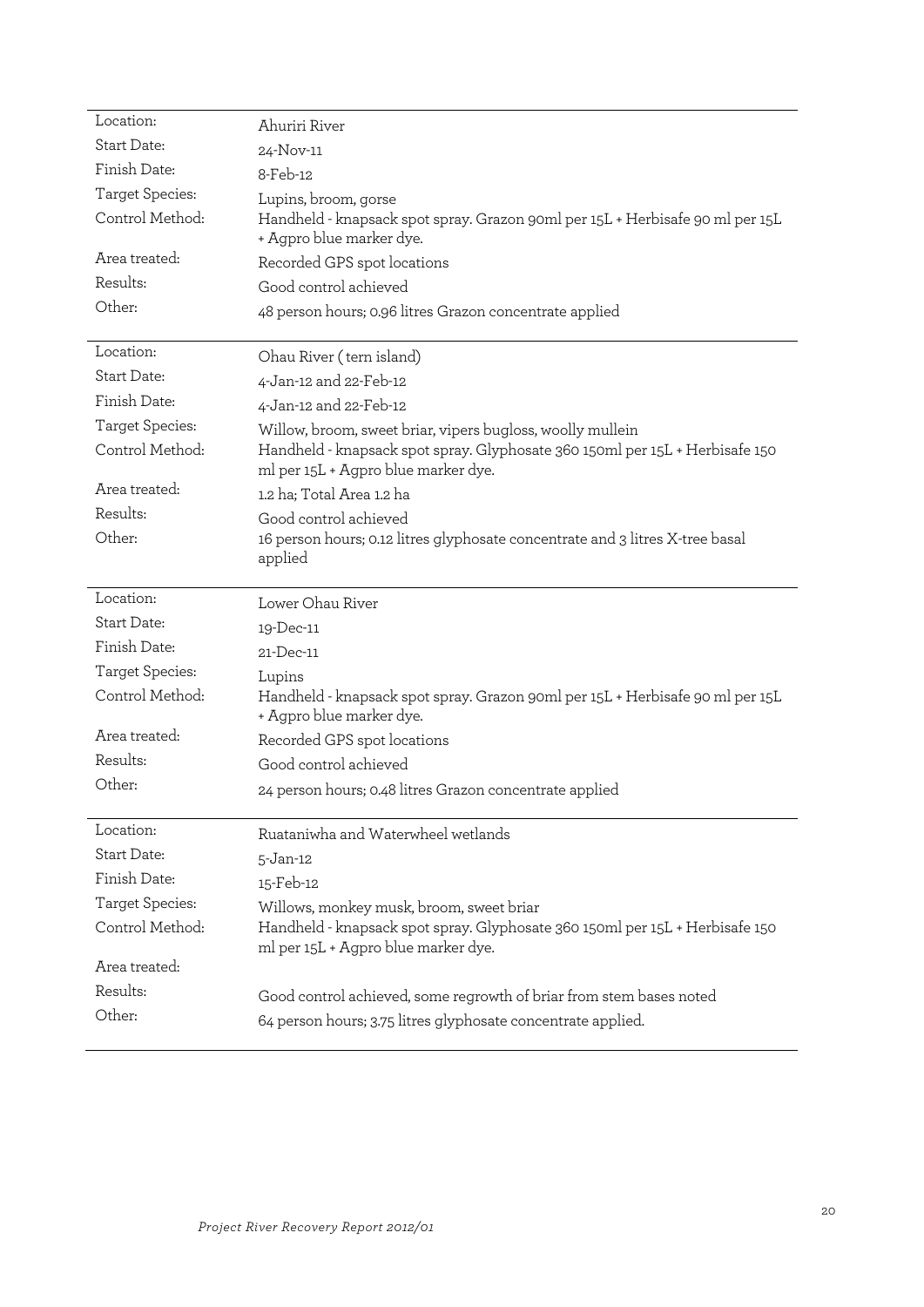| Location:          | Ahuriri River                                                                                                                       |
|--------------------|-------------------------------------------------------------------------------------------------------------------------------------|
| Start Date:        | 24-Nov-11                                                                                                                           |
| Finish Date:       | 8-Feb-12                                                                                                                            |
| Target Species:    | Lupins, broom, gorse                                                                                                                |
| Control Method:    | Handheld - knapsack spot spray. Grazon 90ml per 15L + Herbisafe 90 ml per 15L<br>+ Agpro blue marker dye.                           |
| Area treated:      | Recorded GPS spot locations                                                                                                         |
| Results:           | Good control achieved                                                                                                               |
| Other:             | 48 person hours; 0.96 litres Grazon concentrate applied                                                                             |
|                    |                                                                                                                                     |
| Location:          | Ohau River (tern island)                                                                                                            |
| <b>Start Date:</b> | 4-Jan-12 and 22-Feb-12                                                                                                              |
| Finish Date:       | 4-Jan-12 and 22-Feb-12                                                                                                              |
| Target Species:    | Willow, broom, sweet briar, vipers bugloss, woolly mullein                                                                          |
| Control Method:    | Handheld - knapsack spot spray. Glyphosate 360 150ml per 15L + Herbisafe 150<br>ml per 15L + Agpro blue marker dye.                 |
| Area treated:      | 1.2 ha; Total Area 1.2 ha                                                                                                           |
| Results:           | Good control achieved                                                                                                               |
| Other:             | 16 person hours; 0.12 litres glyphosate concentrate and 3 litres X-tree basal<br>applied                                            |
|                    |                                                                                                                                     |
| Location:          | Lower Ohau River                                                                                                                    |
| Start Date:        |                                                                                                                                     |
| Finish Date:       | 19-Dec-11<br>21-Dec-11                                                                                                              |
| Target Species:    |                                                                                                                                     |
| Control Method:    | Lupins<br>Handheld - knapsack spot spray. Grazon 90ml per 15L + Herbisafe 90 ml per 15L<br>+ Agpro blue marker dye.                 |
| Area treated:      | Recorded GPS spot locations                                                                                                         |
| Results:           | Good control achieved                                                                                                               |
| Other:             | 24 person hours; 0.48 litres Grazon concentrate applied                                                                             |
|                    |                                                                                                                                     |
| Location:          | Ruataniwha and Waterwheel wetlands                                                                                                  |
| Start Date:        | $5 - Jan-12$                                                                                                                        |
| Finish Date:       | 15-Feb-12                                                                                                                           |
| Target Species:    | Willows, monkey musk, broom, sweet briar                                                                                            |
| Control Method:    | Handheld - knapsack spot spray. Glyphosate 360 150ml per 15L + Herbisafe 150                                                        |
|                    | ml per 15L + Agpro blue marker dye.                                                                                                 |
| Area treated:      |                                                                                                                                     |
| Results:<br>Other: | Good control achieved, some regrowth of briar from stem bases noted<br>64 person hours; 3.75 litres glyphosate concentrate applied. |